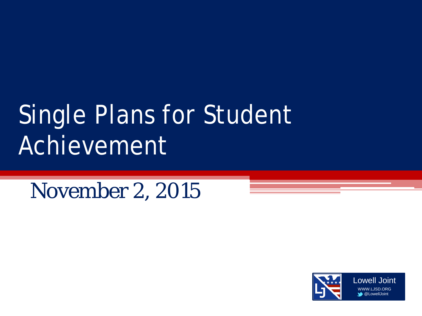# Single Plans for Student Achievement

November 2, 2015

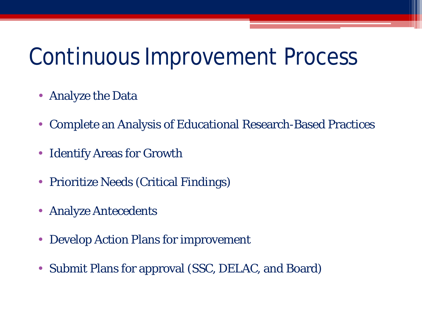### Continuous Improvement Process

- Analyze the Data
- Complete an Analysis of Educational Research-Based Practices
- **Identify Areas for Growth**
- Prioritize Needs (Critical Findings)
- Analyze Antecedents
- Develop Action Plans for improvement
- Submit Plans for approval (SSC, DELAC, and Board)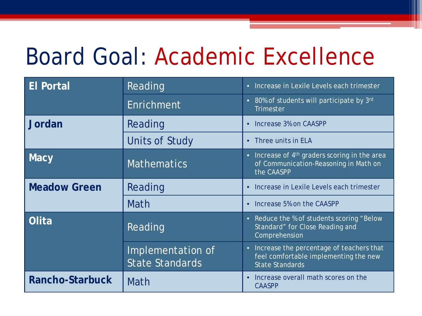### Board Goal: Academic Excellence

| <b>El Portal</b>       | Reading                                     | Increase in Lexile Levels each trimester<br>$\bullet$                                                                       |
|------------------------|---------------------------------------------|-----------------------------------------------------------------------------------------------------------------------------|
|                        | Enrichment                                  | 80% of students will participate by 3rd<br>$\bullet$<br><b>Trimester</b>                                                    |
| Jordan                 | Reading                                     | Increase 3% on CAASPP<br>$\bullet$                                                                                          |
|                        | <b>Units of Study</b>                       | Three units in ELA<br>$\bullet$                                                                                             |
| <b>Macy</b>            | <b>Mathematics</b>                          | Increase of 4 <sup>th</sup> graders scoring in the area<br>$\bullet$<br>of Communication-Reasoning in Math on<br>the CAASPP |
| <b>Meadow Green</b>    | Reading                                     | Increase in Lexile Levels each trimester<br>$\bullet$                                                                       |
|                        | Math                                        | Increase 5% on the CAASPP<br>$\bullet$                                                                                      |
| Olita                  | Reading                                     | Reduce the % of students scoring "Below<br>$\bullet$<br>Standard" for Close Reading and<br>Comprehension                    |
|                        | Implementation of<br><b>State Standards</b> | Increase the percentage of teachers that<br>$\bullet$<br>feel comfortable implementing the new<br>State Standards           |
| <b>Rancho-Starbuck</b> | Math                                        | Increase overall math scores on the<br>$\bullet$<br><b>CAASPP</b>                                                           |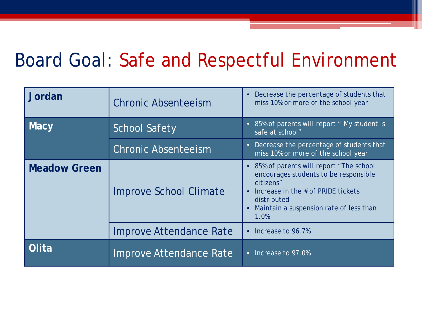#### Board Goal: Safe and Respectful Environment

| Jordan              | <b>Chronic Absenteeism</b>     | Decrease the percentage of students that<br>$\bullet$<br>miss 10% or more of the school year                                                                                                         |
|---------------------|--------------------------------|------------------------------------------------------------------------------------------------------------------------------------------------------------------------------------------------------|
| <b>Macy</b>         | <b>School Safety</b>           | 85% of parents will report " My student is<br>$\bullet$<br>safe at school"                                                                                                                           |
|                     | <b>Chronic Absenteeism</b>     | Decrease the percentage of students that<br>$\bullet$<br>miss 10% or more of the school year                                                                                                         |
| <b>Meadow Green</b> | <b>Improve School Climate</b>  | 85% of parents will report "The school<br>encourages students to be responsible<br>citizens"<br>Increase in the # of PRIDE tickets<br>distributed<br>Maintain a suspension rate of less than<br>1.0% |
|                     | <b>Improve Attendance Rate</b> | Increase to 96.7%<br>$\bullet$                                                                                                                                                                       |
| Olita               | Improve Attendance Rate        | Increase to 97.0%<br>$\bullet$                                                                                                                                                                       |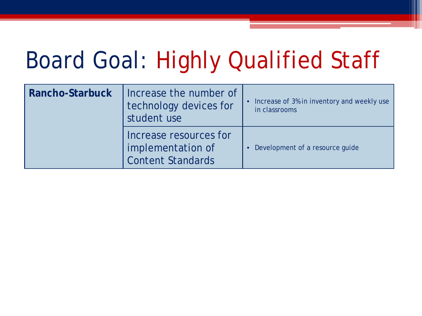## Board Goal: Highly Qualified Staff

| Rancho-Starbuck | Increase the number of<br>technology devices for<br>student use         | Increase of 3% in inventory and weekly use<br>in classrooms |
|-----------------|-------------------------------------------------------------------------|-------------------------------------------------------------|
|                 | Increase resources for<br>implementation of<br><b>Content Standards</b> | • Development of a resource guide                           |